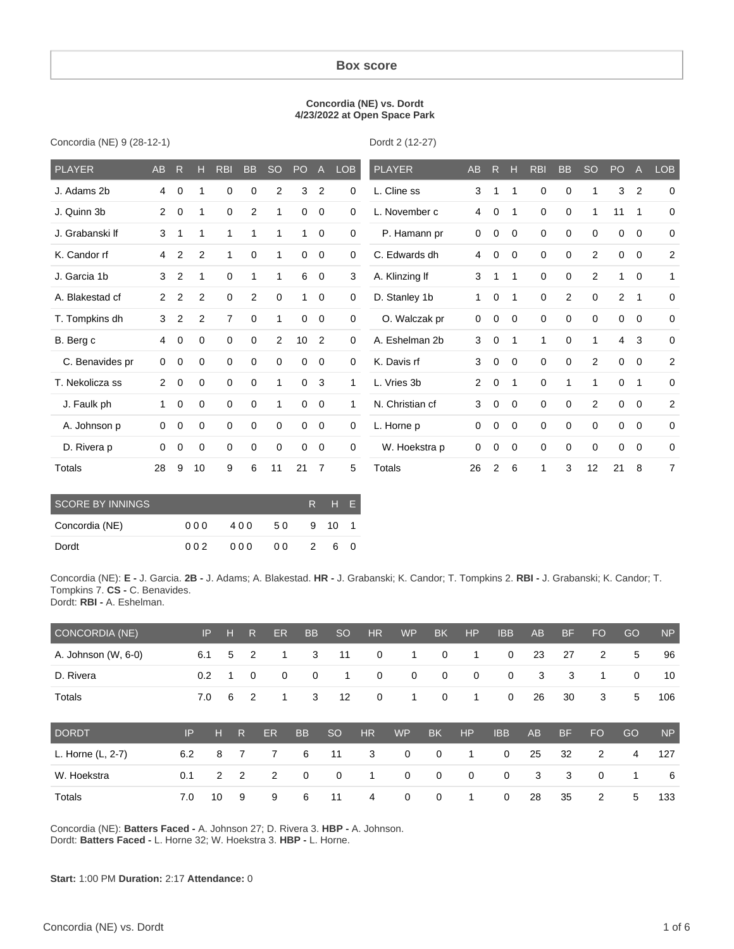#### **Box score**

#### **Concordia (NE) vs. Dordt 4/23/2022 at Open Space Park**

Concordia (NE) 9 (28-12-1)

Dordt 2 (12-27)

| PLAYER          | <b>AB</b>      | R           | Н           | <b>RBI</b>     | <b>BB</b>    | <sub>SO</sub> | P <sub>O</sub> | $\mathsf{A}$   | <b>LOB</b>  | <b>PLAYER</b>   | <b>AB</b>      | $\mathsf{R}$ | н           | <b>RBI</b>  | <b>BB</b>    | <b>SO</b>      | PO             | Α              | <b>LOB</b>     |
|-----------------|----------------|-------------|-------------|----------------|--------------|---------------|----------------|----------------|-------------|-----------------|----------------|--------------|-------------|-------------|--------------|----------------|----------------|----------------|----------------|
| J. Adams 2b     | 4              | 0           | 1           | 0              | 0            | 2             | 3              | $\overline{2}$ | $\mathbf 0$ | L. Cline ss     | 3              | 1            | 1           | $\mathbf 0$ | $\mathbf 0$  |                | 3              | $\overline{2}$ | $\mathbf 0$    |
| J. Quinn 3b     | 2              | $\mathbf 0$ | 1           | $\mathbf 0$    | 2            | 1             | $\mathbf 0$    | $\mathbf 0$    | 0           | L. November c   | 4              | 0            | -1          | 0           | $\mathbf 0$  | 1              | 11             | $\mathbf 1$    | 0              |
| J. Grabanski If | 3              | 1           | 1           | 1              | 1            | 1             | 1              | $\mathbf 0$    | 0           | P. Hamann pr    | $\mathbf 0$    | $\mathbf 0$  | $\mathbf 0$ | $\mathbf 0$ | $\mathbf 0$  | $\Omega$       | 0              | $\mathbf 0$    | 0              |
| K. Candor rf    | 4              | 2           | 2           | 1              | $\mathbf 0$  | 1             | 0              | $\mathbf{0}$   | 0           | C. Edwards dh   | 4              | 0            | 0           | $\mathbf 0$ | $\mathbf 0$  | $\overline{2}$ | 0              | $\mathbf 0$    | $\overline{2}$ |
| J. Garcia 1b    | 3              | 2           | 1           | $\mathbf 0$    | $\mathbf{1}$ | 1             | 6              | $\mathbf{0}$   | 3           | A. Klinzing If  | 3              | 1            | 1           | $\mathbf 0$ | $\mathbf 0$  | $\overline{2}$ | 1              | $\overline{0}$ | 1              |
| A. Blakestad cf | $\overline{2}$ | 2           | 2           | $\mathbf 0$    | 2            | $\mathbf 0$   | 1              | $\mathbf 0$    | 0           | D. Stanley 1b   | 1              | 0            | 1           | $\mathbf 0$ | 2            | $\Omega$       | $\overline{2}$ | 1              | 0              |
| T. Tompkins dh  | 3              | 2           | 2           | $\overline{7}$ | $\mathbf 0$  | 1             | $\mathbf 0$    | $\mathbf{0}$   | 0           | O. Walczak pr   | $\mathbf 0$    | 0            | $\mathbf 0$ | $\mathbf 0$ | $\mathbf 0$  | 0              | 0              | $\overline{0}$ | 0              |
| B. Berg c       | 4              | 0           | 0           | $\mathbf 0$    | $\mathbf 0$  | 2             | 10             | $\overline{2}$ | 0           | A. Eshelman 2b  | 3              | 0            | 1           | 1           | $\mathbf 0$  | 1              | $\overline{4}$ | 3              | 0              |
| C. Benavides pr | $\mathbf 0$    | 0           | 0           | 0              | $\mathbf 0$  | 0             | 0              | $\mathbf 0$    | $\mathbf 0$ | K. Davis rf     | 3              | 0            | $\mathbf 0$ | $\mathbf 0$ | $\mathbf 0$  | $\overline{2}$ | 0              | $\overline{0}$ | $\overline{2}$ |
| T. Nekolicza ss | $\overline{2}$ | $\mathbf 0$ | $\mathbf 0$ | $\mathbf 0$    | $\mathbf 0$  | 1             | $\mathbf 0$    | 3              | 1           | L. Vries 3b     | $\overline{2}$ | 0            | $\mathbf 1$ | $\mathbf 0$ | $\mathbf{1}$ | 1              | $\mathbf 0$    | $\mathbf{1}$   | 0              |
| J. Faulk ph     | 1              | 0           | $\mathbf 0$ | $\mathbf 0$    | $\mathbf 0$  | 1             | $\mathbf 0$    | $\mathbf{0}$   | 1           | N. Christian cf | 3              | $\mathbf 0$  | $\mathbf 0$ | $\mathbf 0$ | $\mathbf 0$  | $\overline{2}$ | 0              | $\overline{0}$ | $\overline{c}$ |
| A. Johnson p    | 0              | 0           | 0           | $\mathbf 0$    | $\mathbf 0$  | $\mathbf 0$   | $\mathbf 0$    | $\mathbf 0$    | 0           | L. Horne p      | $\mathbf 0$    | 0            | 0           | $\mathbf 0$ | $\mathbf 0$  | 0              | 0              | $\mathbf 0$    | 0              |
| D. Rivera p     | 0              | $\mathbf 0$ | $\mathbf 0$ | $\mathbf 0$    | $\mathbf 0$  | $\mathbf 0$   | $\mathbf 0$    | $\mathbf{0}$   | 0           | W. Hoekstra p   | 0              | $\mathbf 0$  | 0           | $\mathbf 0$ | $\mathbf 0$  | 0              | 0              | $\mathbf 0$    | 0              |
| Totals          | 28             | 9           | 10          | 9              | 6            | 11            | 21             | $\overline{7}$ | 5           | <b>Totals</b>   | 26             | 2            | 6           | 1           | 3            | 12             | 21             | 8              | $\overline{7}$ |

| SCORE BY INNINGS | R.  | HE. |     |   |      |  |
|------------------|-----|-----|-----|---|------|--|
| Concordia (NE)   | 000 | 400 | 50  |   | 9 10 |  |
| Dordt            | 002 | 000 | 0 Q | 2 | 6    |  |

Concordia (NE): **E -** J. Garcia. **2B -** J. Adams; A. Blakestad. **HR -** J. Grabanski; K. Candor; T. Tompkins 2. **RBI -** J. Grabanski; K. Candor; T. Tompkins 7. **CS -** C. Benavides.

Dordt: **RBI -** A. Eshelman.

| CONCORDIA (NE)      |     | IP             | н | R              | <b>ER</b>   | <b>BB</b> | <sub>SO</sub> | <b>HR</b> | <b>WP</b>   | <b>BK</b>   | <b>HP</b>   | <b>IBB</b>  | <b>AB</b> | <b>BF</b> | <b>FO</b> | GO | <b>NP</b> |
|---------------------|-----|----------------|---|----------------|-------------|-----------|---------------|-----------|-------------|-------------|-------------|-------------|-----------|-----------|-----------|----|-----------|
| A. Johnson (W, 6-0) |     | 6.1            | 5 | 2              | 1           | 3         | 11            | 0         | 1           | 0           | 1           | $\mathbf 0$ | 23        | 27        | 2         | 5  | 96        |
| D. Rivera           |     | 0.2            |   | 0              | $\mathbf 0$ | 0         | 1             | 0         | $\mathbf 0$ | $\mathbf 0$ | $\mathbf 0$ | $\mathbf 0$ | 3         | 3         | 1         | 0  | 10        |
| <b>Totals</b>       |     | 7.0            | 6 | 2              | 1           | 3         | 12            | 0         | 1           | 0           | 1           | $\mathbf 0$ | 26        | 30        | 3         | 5  | 106       |
| <b>DORDT</b>        | IP  | н              |   | R              | <b>ER</b>   | <b>BB</b> | <sub>SO</sub> | <b>HR</b> | <b>WP</b>   | <b>BK</b>   | <b>HP</b>   | <b>IBB</b>  | <b>AB</b> | <b>BF</b> | <b>FO</b> | GO | <b>NP</b> |
| L. Horne (L, 2-7)   | 6.2 | 8              |   |                | 7           | 6         | 11            | 3         | 0           | 0           | 1           | $\mathbf 0$ | 25        | 32        | 2         | 4  | 127       |
| W. Hoekstra         | 0.1 | $\overline{2}$ |   | $\overline{2}$ | 2           | 0         | $\mathbf 0$   | 1         | 0           | $\mathbf 0$ | $\mathbf 0$ | $\mathbf 0$ | 3         | 3         | 0         | 1  | 6         |
| Totals              | 7.0 | 10             |   | 9              | 9           | 6         | 11            | 4         | 0           | 0           | 1           | 0           | 28        | 35        | 2         | 5  | 133       |

Concordia (NE): **Batters Faced -** A. Johnson 27; D. Rivera 3. **HBP -** A. Johnson. Dordt: **Batters Faced -** L. Horne 32; W. Hoekstra 3. **HBP -** L. Horne.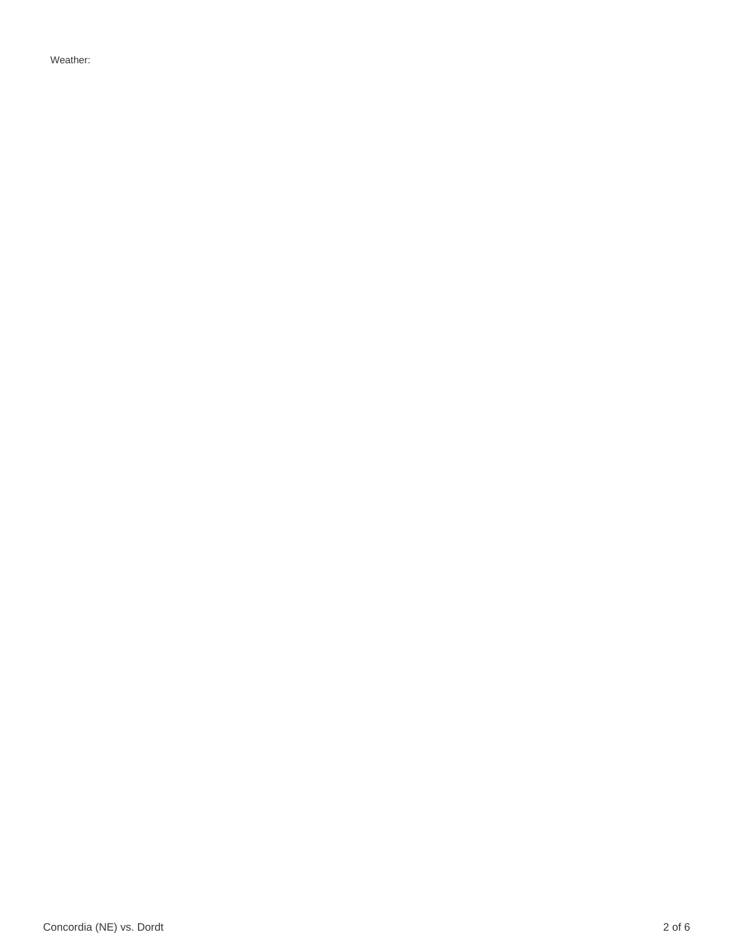Weather: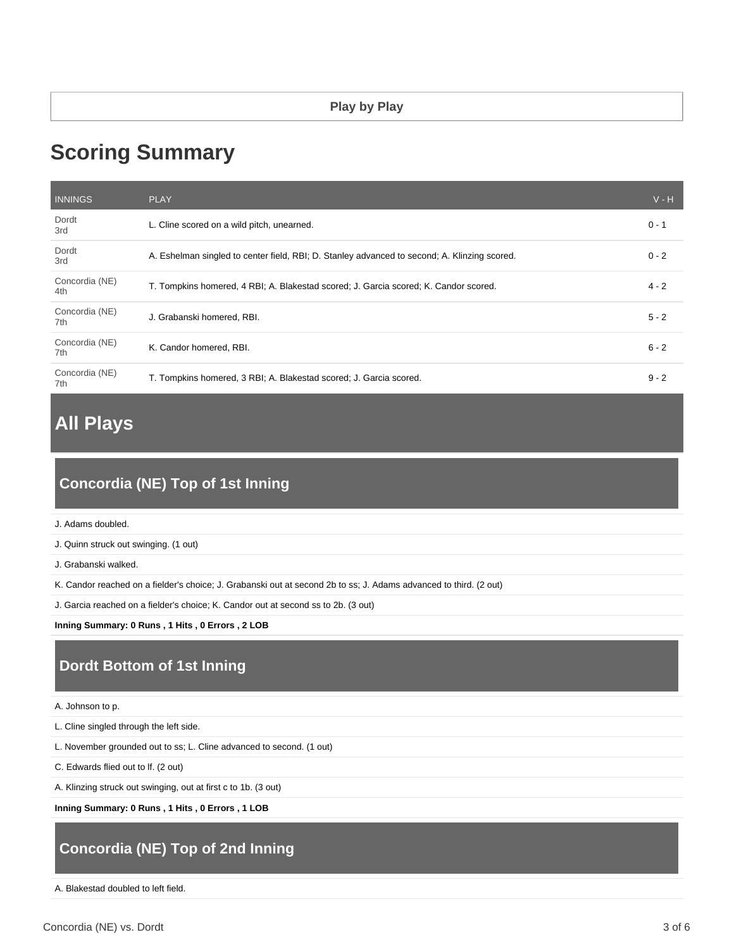# **Scoring Summary**

| <b>INNINGS</b>        | <b>PLAY</b>                                                                                  | $V - H$ |
|-----------------------|----------------------------------------------------------------------------------------------|---------|
| Dordt<br>3rd          | L. Cline scored on a wild pitch, unearned.                                                   | $0 - 1$ |
| Dordt<br>3rd          | A. Eshelman singled to center field, RBI; D. Stanley advanced to second; A. Klinzing scored. | $0 - 2$ |
| Concordia (NE)<br>4th | T. Tompkins homered, 4 RBI; A. Blakestad scored; J. Garcia scored; K. Candor scored.         | $4 - 2$ |
| Concordia (NE)<br>7th | J. Grabanski homered, RBI.                                                                   | $5 - 2$ |
| Concordia (NE)<br>7th | K. Candor homered, RBI.                                                                      | $6 - 2$ |
| Concordia (NE)<br>7th | T. Tompkins homered, 3 RBI; A. Blakestad scored; J. Garcia scored.                           | $9 - 2$ |

# **All Plays**

# **Concordia (NE) Top of 1st Inning**

J. Adams doubled.

J. Quinn struck out swinging. (1 out)

J. Grabanski walked.

K. Candor reached on a fielder's choice; J. Grabanski out at second 2b to ss; J. Adams advanced to third. (2 out)

J. Garcia reached on a fielder's choice; K. Candor out at second ss to 2b. (3 out)

**Inning Summary: 0 Runs , 1 Hits , 0 Errors , 2 LOB**

## **Dordt Bottom of 1st Inning**

A. Johnson to p.

L. Cline singled through the left side.

L. November grounded out to ss; L. Cline advanced to second. (1 out)

C. Edwards flied out to lf. (2 out)

A. Klinzing struck out swinging, out at first c to 1b. (3 out)

**Inning Summary: 0 Runs , 1 Hits , 0 Errors , 1 LOB**

## **Concordia (NE) Top of 2nd Inning**

A. Blakestad doubled to left field.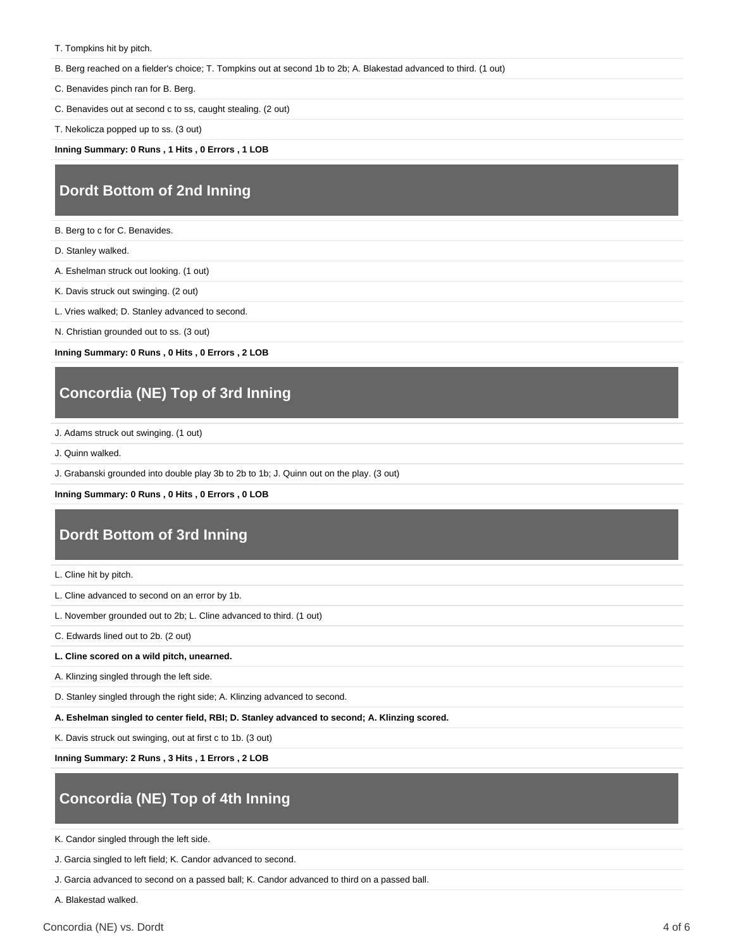T. Tompkins hit by pitch.

B. Berg reached on a fielder's choice; T. Tompkins out at second 1b to 2b; A. Blakestad advanced to third. (1 out)

C. Benavides pinch ran for B. Berg.

C. Benavides out at second c to ss, caught stealing. (2 out)

T. Nekolicza popped up to ss. (3 out)

**Inning Summary: 0 Runs , 1 Hits , 0 Errors , 1 LOB**

#### **Dordt Bottom of 2nd Inning**

B. Berg to c for C. Benavides.

- D. Stanley walked.
- A. Eshelman struck out looking. (1 out)
- K. Davis struck out swinging. (2 out)

L. Vries walked; D. Stanley advanced to second.

N. Christian grounded out to ss. (3 out)

**Inning Summary: 0 Runs , 0 Hits , 0 Errors , 2 LOB**

#### **Concordia (NE) Top of 3rd Inning**

J. Adams struck out swinging. (1 out)

J. Quinn walked.

J. Grabanski grounded into double play 3b to 2b to 1b; J. Quinn out on the play. (3 out)

**Inning Summary: 0 Runs , 0 Hits , 0 Errors , 0 LOB**

#### **Dordt Bottom of 3rd Inning**

L. Cline hit by pitch.

- L. Cline advanced to second on an error by 1b.
- L. November grounded out to 2b; L. Cline advanced to third. (1 out)

C. Edwards lined out to 2b. (2 out)

#### **L. Cline scored on a wild pitch, unearned.**

A. Klinzing singled through the left side.

D. Stanley singled through the right side; A. Klinzing advanced to second.

**A. Eshelman singled to center field, RBI; D. Stanley advanced to second; A. Klinzing scored.**

K. Davis struck out swinging, out at first c to 1b. (3 out)

**Inning Summary: 2 Runs , 3 Hits , 1 Errors , 2 LOB**

# **Concordia (NE) Top of 4th Inning**

K. Candor singled through the left side.

J. Garcia singled to left field; K. Candor advanced to second.

J. Garcia advanced to second on a passed ball; K. Candor advanced to third on a passed ball.

A. Blakestad walked.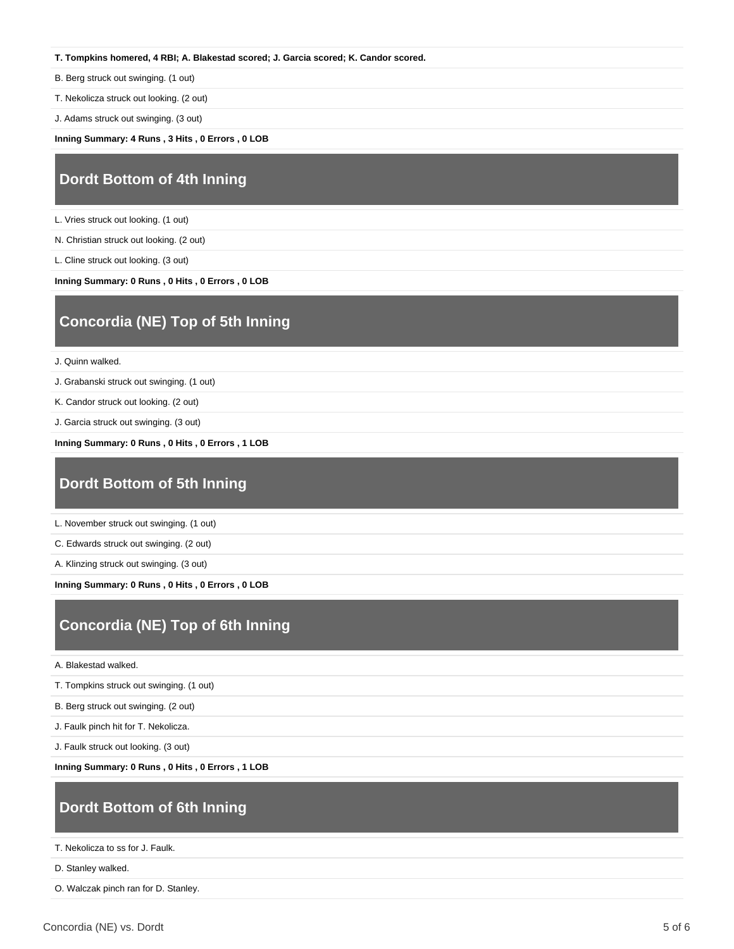#### **T. Tompkins homered, 4 RBI; A. Blakestad scored; J. Garcia scored; K. Candor scored.**

B. Berg struck out swinging. (1 out)

T. Nekolicza struck out looking. (2 out)

J. Adams struck out swinging. (3 out)

**Inning Summary: 4 Runs , 3 Hits , 0 Errors , 0 LOB**

#### **Dordt Bottom of 4th Inning**

L. Vries struck out looking. (1 out)

N. Christian struck out looking. (2 out)

L. Cline struck out looking. (3 out)

**Inning Summary: 0 Runs , 0 Hits , 0 Errors , 0 LOB**

# **Concordia (NE) Top of 5th Inning**

J. Quinn walked.

J. Grabanski struck out swinging. (1 out)

K. Candor struck out looking. (2 out)

J. Garcia struck out swinging. (3 out)

**Inning Summary: 0 Runs , 0 Hits , 0 Errors , 1 LOB**

### **Dordt Bottom of 5th Inning**

L. November struck out swinging. (1 out)

C. Edwards struck out swinging. (2 out)

A. Klinzing struck out swinging. (3 out)

**Inning Summary: 0 Runs , 0 Hits , 0 Errors , 0 LOB**

## **Concordia (NE) Top of 6th Inning**

A. Blakestad walked.

T. Tompkins struck out swinging. (1 out)

B. Berg struck out swinging. (2 out)

J. Faulk pinch hit for T. Nekolicza.

J. Faulk struck out looking. (3 out)

**Inning Summary: 0 Runs , 0 Hits , 0 Errors , 1 LOB**

#### **Dordt Bottom of 6th Inning**

T. Nekolicza to ss for J. Faulk.

D. Stanley walked.

O. Walczak pinch ran for D. Stanley.